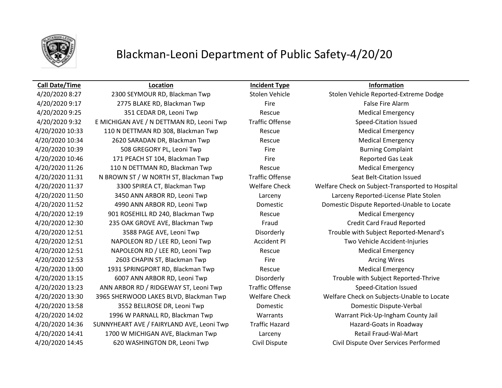

## Blackman-Leoni Department of Public Safety-4/20/20

4/20/2020 9:17 **2775 BLAKE RD, Blackman Twp** Fire Fire Fire False Fire Alarm A/20/2020 9:25 351 CEDAR DR, Leoni Twp Rescue Rescue Rescue Medical Emergency 4/20/2020 9:32 E MICHIGAN AVE / N DETTMAN RD, Leoni Twp Traffic Offense Speed-Citation Issued A/20/2020 10:33 110 N DETTMAN RD 308, Blackman Twp Rescue Rescue Medical Emergency 4/20/2020 10:34 2620 SARADAN DR, Blackman Twp Rescue Medical Emergency 4/20/2020 10:39 508 GREGORY PL, Leoni Twp Fire Fire Burning Complaint A/20/2020 10:46 171 PEACH ST 104, Blackman Twp Fire Fire Fire Reported Gas Leak A/20/2020 11:26 110 N DETTMAN RD, Blackman Twp Rescue Rescue Medical Emergency 4/20/2020 11:31 N BROWN ST / W NORTH ST, Blackman Twp Traffic Offense Seat Belt-Citation Issued A/20/2020 12:19 901 ROSEHILL RD 240, Blackman Twp Rescue Rescue Medical Emergency 4/20/2020 12:30 235 OAK GROVE AVE, Blackman Twp Fraud Credit Card Fraud Reported 4/20/2020 12:51 NAPOLEON RD / LEE RD, Leoni Twp Accident PI Two Vehicle Accident-Injuries 4/20/2020 12:51 NAPOLEON RD / LEE RD, Leoni Twp Rescue Rescue Medical Emergency A/20/2020 12:53 2603 CHAPIN ST, Blackman Twp Fire Fire Fire Arcing Wires A/20/2020 13:00 1931 SPRINGPORT RD, Blackman Twp Rescue Rescue Medical Emergency 4/20/2020 13:23 ANN ARBOR RD / RIDGEWAY ST, Leoni Twp Traffic Offense Speed-Citation Issued 4/20/2020 13:58 3552 BELLROSE DR, Leoni Twp Domestic Domestic Dispute-Verbal 4/20/2020 14:36 SUNNYHEART AVE / FAIRYLAND AVE, Leoni Twp Traffic Hazard Hazard Hazard-Goats in Roadway 4/20/2020 14:41 1700 W MICHIGAN AVE, Blackman Twp Larceny Larceny Retail Fraud-Wal-Mart

**Call Date/Time Location Incident Type Information**

4/20/2020 8:27 2300 SEYMOUR RD, Blackman Twp Stolen Vehicle Stolen Vehicle Reported-Extreme Dodge 4/20/2020 11:37 3300 SPIREA CT, Blackman Twp Welfare Check Welfare Check on Subject-Transported to Hospital 4/20/2020 11:50 3450 ANN ARBOR RD, Leoni Twp Larceny Larceny Reported-License Plate Stolen 4/20/2020 11:52 4990 ANN ARBOR RD, Leoni Twp Domestic Domestic Dispute Reported-Unable to Locate 4/20/2020 12:51 3588 PAGE AVE, Leoni Twp Disorderly Trouble with Subject Reported-Menard's 4/20/2020 13:15 6007 ANN ARBOR RD, Leoni Twp Disorderly Trouble with Subject Reported-Thrive 4/20/2020 13:30 3965 SHERWOOD LAKES BLVD, Blackman Twp Welfare Check Welfare Check on Subjects-Unable to Locate 4/20/2020 14:02 1996 W PARNALL RD, Blackman Twp Warrants Warrant Pick-Up-Ingham County Jail 4/20/2020 14:45 620 WASHINGTON DR, Leoni Twp Civil Dispute Civil Dispute Over Services Performed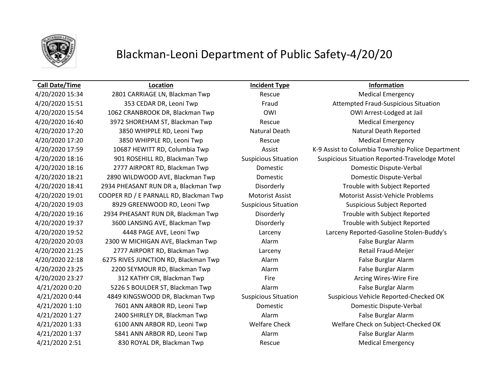

## Blackman-Leoni Department of Public Safety-4/20/20

## **Call Date/Time Location Incident Type Information**

4/20/2020 16:40 3972 SHOREHAM ST, Blackman Twp Rescue Medical Emergency 4/20/2020 17:20 3850 WHIPPLE RD, Leoni Twp Rescue Medical Emergency 4/20/2020 20:03 2300 W MICHIGAN AVE, Blackman Twp Alarm Alarm False Burglar Alarm 4/20/2020 21:25 2777 AIRPORT RD, Blackman Twp Larceny Retail Fraud-Meijer 4/20/2020 22:18 6275 RIVES JUNCTION RD, Blackman Twp Alarm Alarm **Alarm False Burglar Alarm** 4/20/2020 23:25 2200 SEYMOUR RD, Blackman Twp Alarm Alarm Alarm False Burglar Alarm 4/20/2020 23:27 312 KATHY CIR, Blackman Twp Fire Fire Fire Arcing Wires-Wire Fire 4/21/2020 0:20 5226 S BOULDER ST, Blackman Twp Alarm Alarm False Burglar Alarm 4/21/2020 1:27 2400 SHIRLEY DR, Blackman Twp Alarm False Burglar Alarm A/21/2020 1:37 5841 ANN ARBOR RD, Leoni Twp Alarm Alarm False Burglar Alarm A/21/2020 2:51 830 ROYAL DR, Blackman Twp Rescue Rescue Medical Emergency

A/20/2020 15:34 2801 CARRIAGE LN, Blackman Twp Rescue Rescue Medical Emergency 4/20/2020 15:51 353 CEDAR DR, Leoni Twp Fraud Fraud Attempted Fraud-Suspicious Situation 4/20/2020 15:54 1062 CRANBROOK DR, Blackman Twp OWI OWI Arrest-Lodged at Jail 4/20/2020 17:20 3850 WHIPPLE RD, Leoni Twp Natural Death Natural Death Natural Death Reported 4/20/2020 17:59 10687 HEWITT RD, Columbia Twp Assist K-9 Assist to Columbia Township Police Department 4/20/2020 18:16 901 ROSEHILL RD, Blackman Twp Suspicious Situation Suspicious Situation Reported-Travelodge Motel 4/20/2020 18:16 2777 AIRPORT RD, Blackman Twp Domestic Domestic Dispute-Verbal 4/20/2020 18:21 2890 WILDWOOD AVE, Blackman Twp Domestic Domestic Dispute-Verbal 4/20/2020 18:41 2934 PHEASANT RUN DR a, Blackman Twp Disorderly Trouble with Subject Reported 4/20/2020 19:01 COOPER RD / E PARNALL RD, Blackman Twp Motorist Assist Motorist Assist-Vehicle Problems 4/20/2020 19:03 8929 GREENWOOD RD, Leoni Twp Suspicious Situation Suspicious Subject Reported 4/20/2020 19:16 2934 PHEASANT RUN DR, Blackman Twp Disorderly Trouble with Subject Reported 4/20/2020 19:37 3600 LANSING AVE, Blackman Twp Disorderly Trouble with Subject Reported 4/20/2020 19:52 4448 PAGE AVE, Leoni Twp Larceny Larceny Reported-Gasoline Stolen-Buddy's 4/21/2020 0:44 4849 KINGSWOOD DR, Blackman Twp Suspicious Situation Suspicious Vehicle Reported-Checked OK 4/21/2020 1:10 7601 ANN ARBOR RD, Leoni Twp Domestic Domestic Dispute-Verbal 4/21/2020 1:33 6100 ANN ARBOR RD, Leoni Twp Welfare Check Welfare Check on Subject-Checked OK